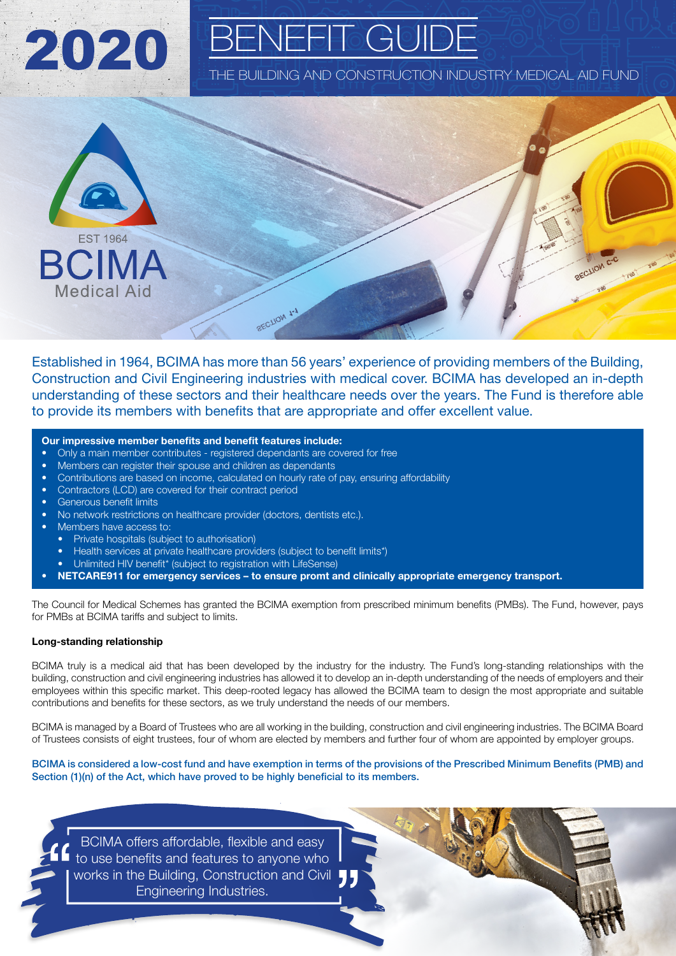

## ENEFIT GUIDI

THE BUILDING AND CONSTRUCTION INDUSTRY MEDICAL AID FUND



Established in 1964, BCIMA has more than 56 years' experience of providing members of the Building, Construction and Civil Engineering industries with medical cover. BCIMA has developed an in-depth understanding of these sectors and their healthcare needs over the years. The Fund is therefore able to provide its members with benefits that are appropriate and offer excellent value.

## Our impressive member benefits and benefit features include:

- Only a main member contributes registered dependants are covered for free
- Members can register their spouse and children as dependants
- Contributions are based on income, calculated on hourly rate of pay, ensuring affordability
- Contractors (LCD) are covered for their contract period
- Generous benefit limits
- No network restrictions on healthcare provider (doctors, dentists etc.).
- Members have access to:
	- Private hospitals (subject to authorisation)
	- Health services at private healthcare providers (subject to benefit limits\*)
	- Unlimited HIV benefit\* (subject to registration with LifeSense)
- NETCARE911 for emergency services to ensure promt and clinically appropriate emergency transport.

The Council for Medical Schemes has granted the BCIMA exemption from prescribed minimum benefits (PMBs). The Fund, however, pays for PMBs at BCIMA tariffs and subject to limits.

## Long-standing relationship

BCIMA truly is a medical aid that has been developed by the industry for the industry. The Fund's long-standing relationships with the building, construction and civil engineering industries has allowed it to develop an in-depth understanding of the needs of employers and their employees within this specific market. This deep-rooted legacy has allowed the BCIMA team to design the most appropriate and suitable contributions and benefits for these sectors, as we truly understand the needs of our members.

BCIMA is managed by a Board of Trustees who are all working in the building, construction and civil engineering industries. The BCIMA Board of Trustees consists of eight trustees, four of whom are elected by members and further four of whom are appointed by employer groups.

BCIMA is considered a low-cost fund and have exemption in terms of the provisions of the Prescribed Minimum Benefits (PMB) and Section (1)(n) of the Act, which have proved to be highly beneficial to its members.

BCIMA offers affordable, flexible and easy to use benefits and features to anyone who works in the Building, Construction and Civil Engineering Industries.